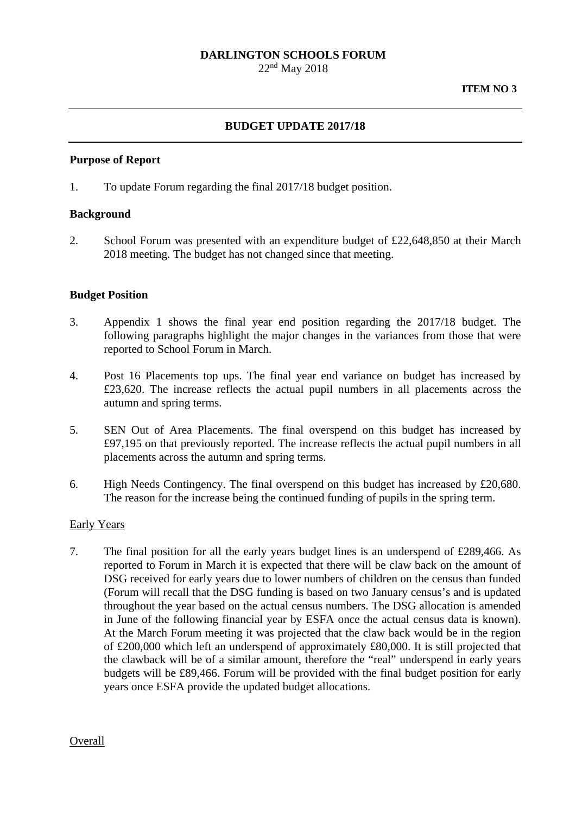# **DARLINGTON SCHOOLS FORUM**

22nd May 2018

### **BUDGET UPDATE 2017/18**

#### **Purpose of Report**

1. To update Forum regarding the final 2017/18 budget position.

#### **Background**

2. School Forum was presented with an expenditure budget of £22,648,850 at their March 2018 meeting. The budget has not changed since that meeting.

#### **Budget Position**

- 3. Appendix 1 shows the final year end position regarding the 2017/18 budget. The following paragraphs highlight the major changes in the variances from those that were reported to School Forum in March.
- 4. Post 16 Placements top ups. The final year end variance on budget has increased by £23,620. The increase reflects the actual pupil numbers in all placements across the autumn and spring terms.
- 5. SEN Out of Area Placements. The final overspend on this budget has increased by £97,195 on that previously reported. The increase reflects the actual pupil numbers in all placements across the autumn and spring terms.
- 6. High Needs Contingency. The final overspend on this budget has increased by  $£20,680$ . The reason for the increase being the continued funding of pupils in the spring term.

#### Early Years

7. The final position for all the early years budget lines is an underspend of £289,466. As reported to Forum in March it is expected that there will be claw back on the amount of DSG received for early years due to lower numbers of children on the census than funded (Forum will recall that the DSG funding is based on two January census's and is updated throughout the year based on the actual census numbers. The DSG allocation is amended in June of the following financial year by ESFA once the actual census data is known). At the March Forum meeting it was projected that the claw back would be in the region of £200,000 which left an underspend of approximately £80,000. It is still projected that the clawback will be of a similar amount, therefore the "real" underspend in early years budgets will be £89,466. Forum will be provided with the final budget position for early years once ESFA provide the updated budget allocations.

**Overall**